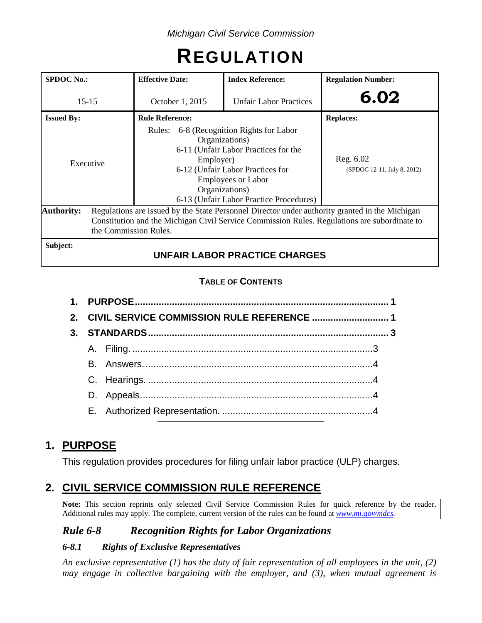# **REGULATION**

| <b>SPDOC</b> No.: | <b>Effective Date:</b> | <b>Index Reference:</b>                                                                                                                                                                                                          | <b>Regulation Number:</b>                |  |  |
|-------------------|------------------------|----------------------------------------------------------------------------------------------------------------------------------------------------------------------------------------------------------------------------------|------------------------------------------|--|--|
| $15 - 15$         | October 1, 2015        | <b>Unfair Labor Practices</b>                                                                                                                                                                                                    | 6.02                                     |  |  |
| <b>Issued By:</b> | <b>Rule Reference:</b> |                                                                                                                                                                                                                                  |                                          |  |  |
| Executive         | Employer)              | Rules: 6-8 (Recognition Rights for Labor<br>Organizations)<br>6-11 (Unfair Labor Practices for the<br>6-12 (Unfair Labor Practices for<br><b>Employees or Labor</b><br>Organizations)<br>6-13 (Unfair Labor Practice Procedures) | Reg. 6.02<br>(SPDOC 12-11, July 8, 2012) |  |  |
| <b>Authority:</b> | the Commission Rules.  | Regulations are issued by the State Personnel Director under authority granted in the Michigan<br>Constitution and the Michigan Civil Service Commission Rules. Regulations are subordinate to                                   |                                          |  |  |
| Subject:          |                        | <b>UNFAIR LABOR PRACTICE CHARGES</b>                                                                                                                                                                                             |                                          |  |  |

# **TABLE OF CONTENTS**

|  | 2. CIVIL SERVICE COMMISSION RULE REFERENCE  1 |  |
|--|-----------------------------------------------|--|
|  |                                               |  |
|  |                                               |  |
|  |                                               |  |
|  |                                               |  |
|  |                                               |  |
|  |                                               |  |

# **1. PURPOSE**

This regulation provides procedures for filing unfair labor practice (ULP) charges.

# **2. CIVIL SERVICE COMMISSION RULE REFERENCE**

**Note:** This section reprints only selected Civil Service Commission Rules for quick reference by the reader. Additional rules may apply. The complete, current version of the rules can be found at *[www.mi.gov/mdcs.](http://www.mi.gov/mdcs)*

# *Rule 6-8 Recognition Rights for Labor Organizations*

# *6-8.1 Rights of Exclusive Representatives*

*An exclusive representative (1) has the duty of fair representation of all employees in the unit, (2) may engage in collective bargaining with the employer, and (3), when mutual agreement is*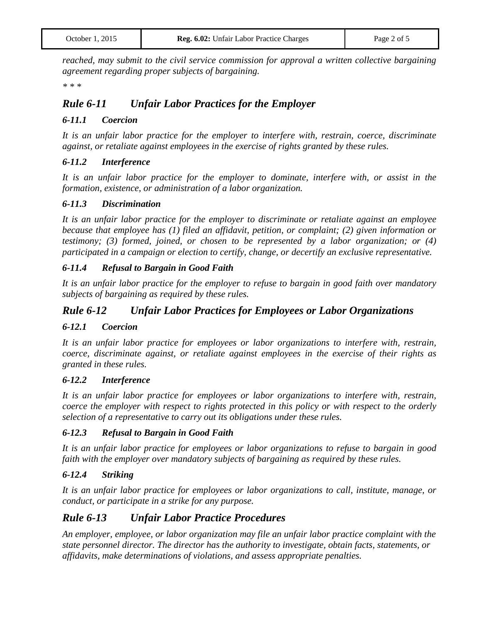*reached, may submit to the civil service commission for approval a written collective bargaining agreement regarding proper subjects of bargaining.*

*\* \* \**

# *Rule 6-11 Unfair Labor Practices for the Employer*

#### *6-11.1 Coercion*

*It is an unfair labor practice for the employer to interfere with, restrain, coerce, discriminate against, or retaliate against employees in the exercise of rights granted by these rules.*

#### *6-11.2 Interference*

*It is an unfair labor practice for the employer to dominate, interfere with, or assist in the formation, existence, or administration of a labor organization.*

#### *6-11.3 Discrimination*

*It is an unfair labor practice for the employer to discriminate or retaliate against an employee because that employee has (1) filed an affidavit, petition, or complaint; (2) given information or testimony; (3) formed, joined, or chosen to be represented by a labor organization; or (4) participated in a campaign or election to certify, change, or decertify an exclusive representative.*

#### *6-11.4 Refusal to Bargain in Good Faith*

*It is an unfair labor practice for the employer to refuse to bargain in good faith over mandatory subjects of bargaining as required by these rules.*

# *Rule 6-12 Unfair Labor Practices for Employees or Labor Organizations*

#### *6-12.1 Coercion*

*It is an unfair labor practice for employees or labor organizations to interfere with, restrain, coerce, discriminate against, or retaliate against employees in the exercise of their rights as granted in these rules.*

#### *6-12.2 Interference*

*It is an unfair labor practice for employees or labor organizations to interfere with, restrain, coerce the employer with respect to rights protected in this policy or with respect to the orderly selection of a representative to carry out its obligations under these rules.*

#### *6-12.3 Refusal to Bargain in Good Faith*

*It is an unfair labor practice for employees or labor organizations to refuse to bargain in good faith with the employer over mandatory subjects of bargaining as required by these rules.*

#### *6-12.4 Striking*

*It is an unfair labor practice for employees or labor organizations to call, institute, manage, or conduct, or participate in a strike for any purpose.*

# *Rule 6-13 Unfair Labor Practice Procedures*

*An employer, employee, or labor organization may file an unfair labor practice complaint with the state personnel director. The director has the authority to investigate, obtain facts, statements, or affidavits, make determinations of violations, and assess appropriate penalties.*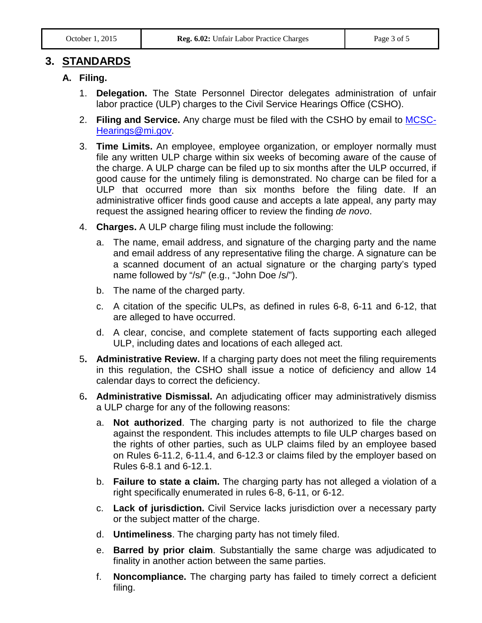# **3. STANDARDS**

#### **A. Filing.**

- 1. **Delegation.** The State Personnel Director delegates administration of unfair labor practice (ULP) charges to the Civil Service Hearings Office (CSHO).
- 2. **Filing and Service.** Any charge must be filed with the CSHO by email to [MCSC-](mailto:MCSC-Hearings@mi.gov)[Hearings@mi.gov.](mailto:MCSC-Hearings@mi.gov)
- 3. **Time Limits.** An employee, employee organization, or employer normally must file any written ULP charge within six weeks of becoming aware of the cause of the charge. A ULP charge can be filed up to six months after the ULP occurred, if good cause for the untimely filing is demonstrated. No charge can be filed for a ULP that occurred more than six months before the filing date. If an administrative officer finds good cause and accepts a late appeal, any party may request the assigned hearing officer to review the finding *de novo*.
- 4. **Charges.** A ULP charge filing must include the following:
	- a. The name, email address, and signature of the charging party and the name and email address of any representative filing the charge. A signature can be a scanned document of an actual signature or the charging party's typed name followed by "/s/" (e.g., "John Doe /s/").
	- b. The name of the charged party.
	- c. A citation of the specific ULPs, as defined in rules 6-8, 6-11 and 6-12, that are alleged to have occurred.
	- d. A clear, concise, and complete statement of facts supporting each alleged ULP, including dates and locations of each alleged act.
- 5**. Administrative Review.** If a charging party does not meet the filing requirements in this regulation, the CSHO shall issue a notice of deficiency and allow 14 calendar days to correct the deficiency.
- 6**. Administrative Dismissal.** An adjudicating officer may administratively dismiss a ULP charge for any of the following reasons:
	- a. **Not authorized**. The charging party is not authorized to file the charge against the respondent. This includes attempts to file ULP charges based on the rights of other parties, such as ULP claims filed by an employee based on Rules 6-11.2, 6-11.4, and 6-12.3 or claims filed by the employer based on Rules 6-8.1 and 6-12.1.
	- b. **Failure to state a claim.** The charging party has not alleged a violation of a right specifically enumerated in rules 6-8, 6-11, or 6-12.
	- c. **Lack of jurisdiction.** Civil Service lacks jurisdiction over a necessary party or the subject matter of the charge.
	- d. **Untimeliness**. The charging party has not timely filed.
	- e. **Barred by prior claim**. Substantially the same charge was adjudicated to finality in another action between the same parties.
	- f. **Noncompliance.** The charging party has failed to timely correct a deficient filing.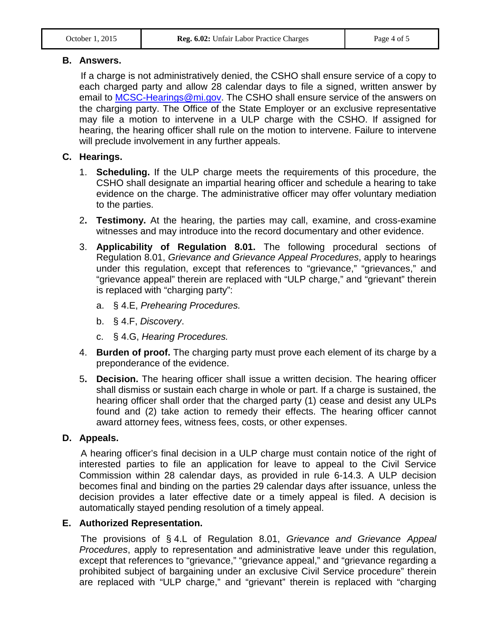#### **B. Answers.**

If a charge is not administratively denied, the CSHO shall ensure service of a copy to each charged party and allow 28 calendar days to file a signed, written answer by email to [MCSC-Hearings@mi.gov.](mailto:MCSC-Hearings@mi.gov) The CSHO shall ensure service of the answers on the charging party. The Office of the State Employer or an exclusive representative may file a motion to intervene in a ULP charge with the CSHO. If assigned for hearing, the hearing officer shall rule on the motion to intervene. Failure to intervene will preclude involvement in any further appeals.

# **C. Hearings.**

- 1. **Scheduling.** If the ULP charge meets the requirements of this procedure, the CSHO shall designate an impartial hearing officer and schedule a hearing to take evidence on the charge. The administrative officer may offer voluntary mediation to the parties.
- 2**. Testimony.** At the hearing, the parties may call, examine, and cross-examine witnesses and may introduce into the record documentary and other evidence.
- 3. **Applicability of Regulation 8.01.** The following procedural sections of Regulation 8.01, *Grievance and Grievance Appeal Procedures*, apply to hearings under this regulation, except that references to "grievance," "grievances," and "grievance appeal" therein are replaced with "ULP charge," and "grievant" therein is replaced with "charging party":
	- a. § 4.E, *Prehearing Procedures.*
	- b. § 4.F, *Discovery*.
	- c. § 4.G, *Hearing Procedures.*
- 4. **Burden of proof.** The charging party must prove each element of its charge by a preponderance of the evidence.
- 5**. Decision.** The hearing officer shall issue a written decision. The hearing officer shall dismiss or sustain each charge in whole or part. If a charge is sustained, the hearing officer shall order that the charged party (1) cease and desist any ULPs found and (2) take action to remedy their effects. The hearing officer cannot award attorney fees, witness fees, costs, or other expenses.

# **D. Appeals.**

A hearing officer's final decision in a ULP charge must contain notice of the right of interested parties to file an application for leave to appeal to the Civil Service Commission within 28 calendar days, as provided in rule 6-14.3. A ULP decision becomes final and binding on the parties 29 calendar days after issuance, unless the decision provides a later effective date or a timely appeal is filed. A decision is automatically stayed pending resolution of a timely appeal.

# **E. Authorized Representation.**

The provisions of § 4.L of Regulation 8.01, *Grievance and Grievance Appeal Procedures*, apply to representation and administrative leave under this regulation, except that references to "grievance," "grievance appeal," and "grievance regarding a prohibited subject of bargaining under an exclusive Civil Service procedure" therein are replaced with "ULP charge," and "grievant" therein is replaced with "charging